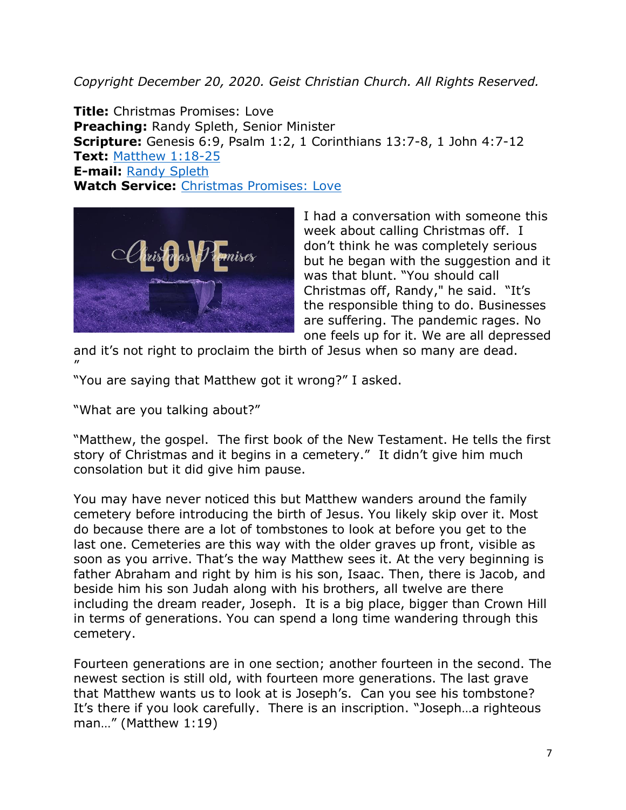*Copyright December 20, 2020. Geist Christian Church. All Rights Reserved.*

**Title:** Christmas Promises: Love **Preaching:** Randy Spleth, Senior Minister **Scripture:** Genesis 6:9, Psalm 1:2, 1 Corinthians 13:7-8, 1 John 4:7-12 **Text:** [Matthew 1:18-25](https://www.biblegateway.com/passage/?search=Genesis+6%3A9%2C+Psalm+1%3A2%2C+1+Corinthians+13%3A7-8%2C+1+John+4%3A7-12&version=NRSV) **E-mail:** [Randy Spleth](mailto:randy.spleth@geistchristian.org) **Watch Service:** [Christmas Promises: Love](https://geistchristian.org/mediacast/christmas-promises-love-mud-creek-campus/)



I had a conversation with someone this week about calling Christmas off. I don't think he was completely serious but he began with the suggestion and it was that blunt. "You should call Christmas off, Randy," he said. "It's the responsible thing to do. Businesses are suffering. The pandemic rages. No one feels up for it. We are all depressed

and it's not right to proclaim the birth of Jesus when so many are dead. "

"You are saying that Matthew got it wrong?" I asked.

"What are you talking about?"

"Matthew, the gospel. The first book of the New Testament. He tells the first story of Christmas and it begins in a cemetery." It didn't give him much consolation but it did give him pause.

You may have never noticed this but Matthew wanders around the family cemetery before introducing the birth of Jesus. You likely skip over it. Most do because there are a lot of tombstones to look at before you get to the last one. Cemeteries are this way with the older graves up front, visible as soon as you arrive. That's the way Matthew sees it. At the very beginning is father Abraham and right by him is his son, Isaac. Then, there is Jacob, and beside him his son Judah along with his brothers, all twelve are there including the dream reader, Joseph. It is a big place, bigger than Crown Hill in terms of generations. You can spend a long time wandering through this cemetery.

Fourteen generations are in one section; another fourteen in the second. The newest section is still old, with fourteen more generations. The last grave that Matthew wants us to look at is Joseph's. Can you see his tombstone? It's there if you look carefully. There is an inscription. "Joseph…a righteous man…" (Matthew 1:19)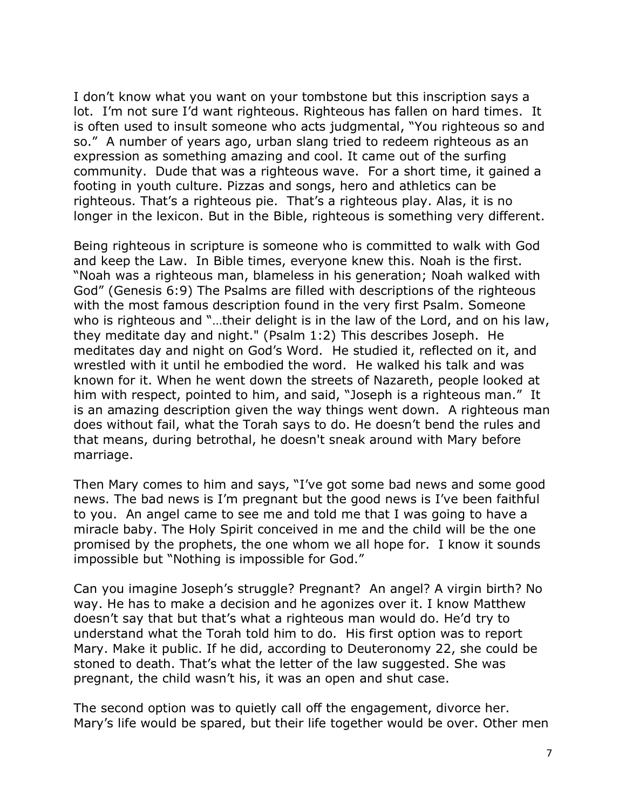I don't know what you want on your tombstone but this inscription says a lot. I'm not sure I'd want righteous. Righteous has fallen on hard times. It is often used to insult someone who acts judgmental, "You righteous so and so." A number of years ago, urban slang tried to redeem righteous as an expression as something amazing and cool. It came out of the surfing community. Dude that was a righteous wave. For a short time, it gained a footing in youth culture. Pizzas and songs, hero and athletics can be righteous. That's a righteous pie. That's a righteous play. Alas, it is no longer in the lexicon. But in the Bible, righteous is something very different.

Being righteous in scripture is someone who is committed to walk with God and keep the Law. In Bible times, everyone knew this. Noah is the first. "Noah was a righteous man, blameless in his generation; Noah walked with God" (Genesis 6:9) The Psalms are filled with descriptions of the righteous with the most famous description found in the very first Psalm. Someone who is righteous and "…their delight is in the law of the Lord, and on his law, they meditate day and night." (Psalm 1:2) This describes Joseph. He meditates day and night on God's Word. He studied it, reflected on it, and wrestled with it until he embodied the word. He walked his talk and was known for it. When he went down the streets of Nazareth, people looked at him with respect, pointed to him, and said, "Joseph is a righteous man." It is an amazing description given the way things went down. A righteous man does without fail, what the Torah says to do. He doesn't bend the rules and that means, during betrothal, he doesn't sneak around with Mary before marriage.

Then Mary comes to him and says, "I've got some bad news and some good news. The bad news is I'm pregnant but the good news is I've been faithful to you. An angel came to see me and told me that I was going to have a miracle baby. The Holy Spirit conceived in me and the child will be the one promised by the prophets, the one whom we all hope for. I know it sounds impossible but "Nothing is impossible for God."

Can you imagine Joseph's struggle? Pregnant? An angel? A virgin birth? No way. He has to make a decision and he agonizes over it. I know Matthew doesn't say that but that's what a righteous man would do. He'd try to understand what the Torah told him to do. His first option was to report Mary. Make it public. If he did, according to Deuteronomy 22, she could be stoned to death. That's what the letter of the law suggested. She was pregnant, the child wasn't his, it was an open and shut case.

The second option was to quietly call off the engagement, divorce her. Mary's life would be spared, but their life together would be over. Other men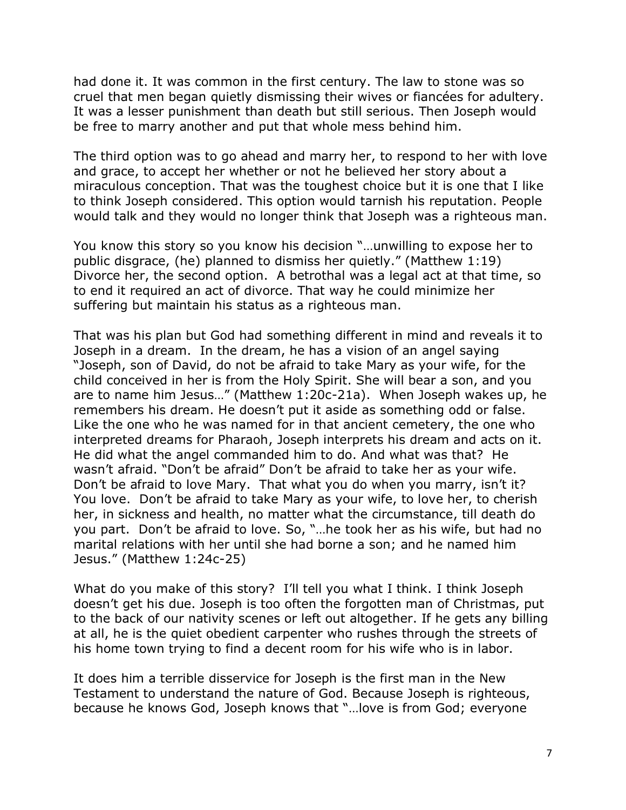had done it. It was common in the first century. The law to stone was so cruel that men began quietly dismissing their wives or fiancées for adultery. It was a lesser punishment than death but still serious. Then Joseph would be free to marry another and put that whole mess behind him.

The third option was to go ahead and marry her, to respond to her with love and grace, to accept her whether or not he believed her story about a miraculous conception. That was the toughest choice but it is one that I like to think Joseph considered. This option would tarnish his reputation. People would talk and they would no longer think that Joseph was a righteous man.

You know this story so you know his decision "…unwilling to expose her to public disgrace, (he) planned to dismiss her quietly." (Matthew 1:19) Divorce her, the second option. A betrothal was a legal act at that time, so to end it required an act of divorce. That way he could minimize her suffering but maintain his status as a righteous man.

That was his plan but God had something different in mind and reveals it to Joseph in a dream. In the dream, he has a vision of an angel saying "Joseph, son of David, do not be afraid to take Mary as your wife, for the child conceived in her is from the Holy Spirit. She will bear a son, and you are to name him Jesus…" (Matthew 1:20c-21a). When Joseph wakes up, he remembers his dream. He doesn't put it aside as something odd or false. Like the one who he was named for in that ancient cemetery, the one who interpreted dreams for Pharaoh, Joseph interprets his dream and acts on it. He did what the angel commanded him to do. And what was that? He wasn't afraid. "Don't be afraid" Don't be afraid to take her as your wife. Don't be afraid to love Mary. That what you do when you marry, isn't it? You love. Don't be afraid to take Mary as your wife, to love her, to cherish her, in sickness and health, no matter what the circumstance, till death do you part. Don't be afraid to love. So, "…he took her as his wife, but had no marital relations with her until she had borne a son; and he named him Jesus." (Matthew 1:24c-25)

What do you make of this story? I'll tell you what I think. I think Joseph doesn't get his due. Joseph is too often the forgotten man of Christmas, put to the back of our nativity scenes or left out altogether. If he gets any billing at all, he is the quiet obedient carpenter who rushes through the streets of his home town trying to find a decent room for his wife who is in labor.

It does him a terrible disservice for Joseph is the first man in the New Testament to understand the nature of God. Because Joseph is righteous, because he knows God, Joseph knows that "…love is from God; everyone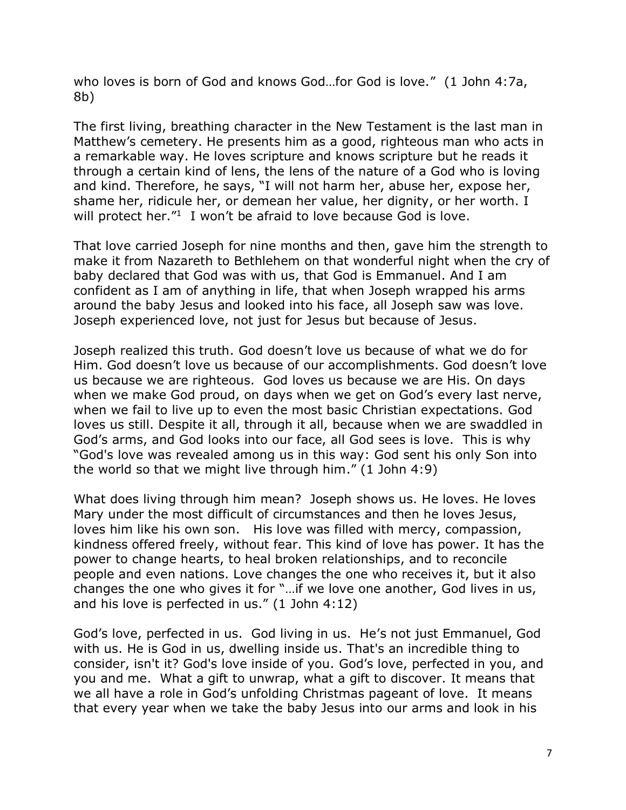who loves is born of God and knows God…for God is love." (1 John 4:7a, 8b)

The first living, breathing character in the New Testament is the last man in Matthew's cemetery. He presents him as a good, righteous man who acts in a remarkable way. He loves scripture and knows scripture but he reads it through a certain kind of lens, the lens of the nature of a God who is loving and kind. Therefore, he says, "I will not harm her, abuse her, expose her, shame her, ridicule her, or demean her value, her dignity, or her worth. I will protect her."<sup>1</sup> I won't be afraid to love because God is love.

That love carried Joseph for nine months and then, gave him the strength to make it from Nazareth to Bethlehem on that wonderful night when the cry of baby declared that God was with us, that God is Emmanuel. And I am confident as I am of anything in life, that when Joseph wrapped his arms around the baby Jesus and looked into his face, all Joseph saw was love. Joseph experienced love, not just for Jesus but because of Jesus.

Joseph realized this truth. God doesn't love us because of what we do for Him. God doesn't love us because of our accomplishments. God doesn't love us because we are righteous. God loves us because we are His. On days when we make God proud, on days when we get on God's every last nerve, when we fail to live up to even the most basic Christian expectations. God loves us still. Despite it all, through it all, because when we are swaddled in God's arms, and God looks into our face, all God sees is love. This is why "God's love was revealed among us in this way: God sent his only Son into the world so that we might live through him." (1 John 4:9)

What does living through him mean? Joseph shows us. He loves. He loves Mary under the most difficult of circumstances and then he loves Jesus, loves him like his own son. His love was filled with mercy, compassion, kindness offered freely, without fear. This kind of love has power. It has the power to change hearts, to heal broken relationships, and to reconcile people and even nations. Love changes the one who receives it, but it also changes the one who gives it for "…if we love one another, God lives in us, and his love is perfected in us." (1 John 4:12)

God's love, perfected in us. God living in us. He's not just Emmanuel, God with us. He is God in us, dwelling inside us. That's an incredible thing to consider, isn't it? God's love inside of you. God's love, perfected in you, and you and me. What a gift to unwrap, what a gift to discover. It means that we all have a role in God's unfolding Christmas pageant of love. It means that every year when we take the baby Jesus into our arms and look in his